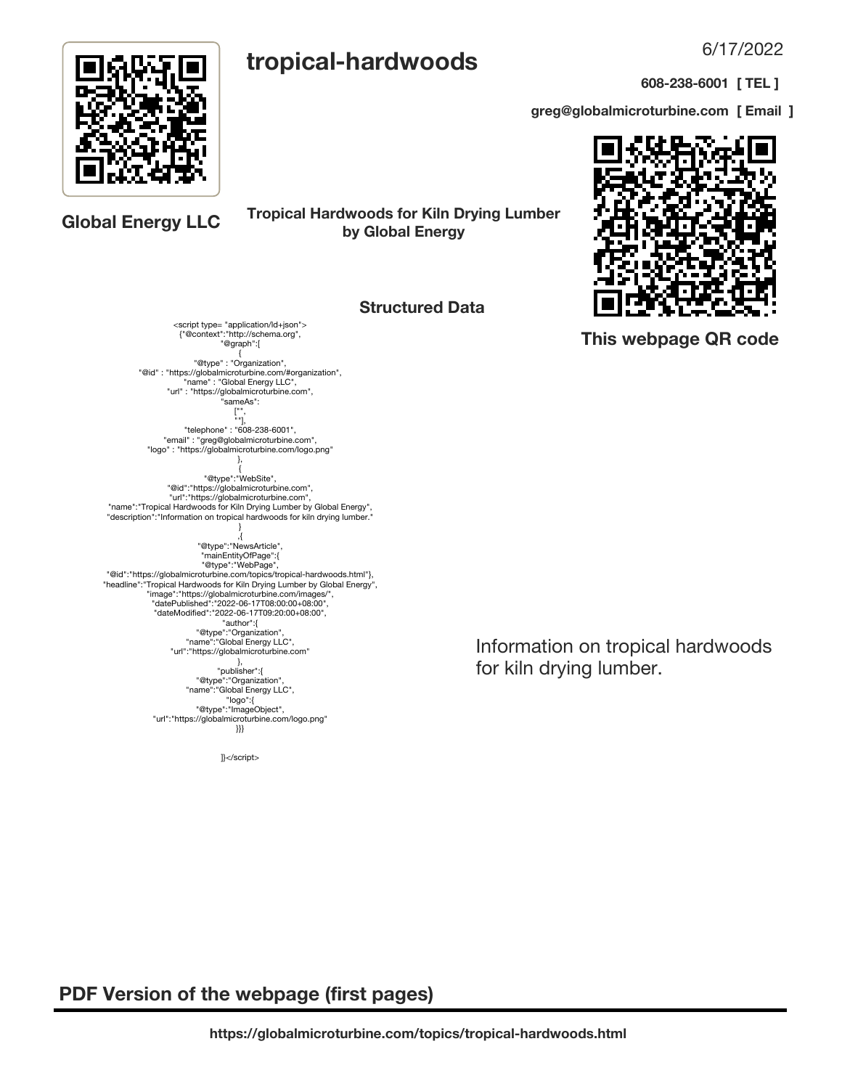6/17/2022

**608-238-6001 [ TEL ]**

**greg@globalmicroturbine.com [ Email ]**



**Global Energy LLC**

**Tropical Hardwoods for Kiln Drying Lumber by Global Energy**

**tropical-hardwoods**

#### **Structured Data**



 **This webpage QR code**



]}</script>

Information on tropical hardwoods for kiln drying lumber.

 **PDF Version of the webpage (first pages)**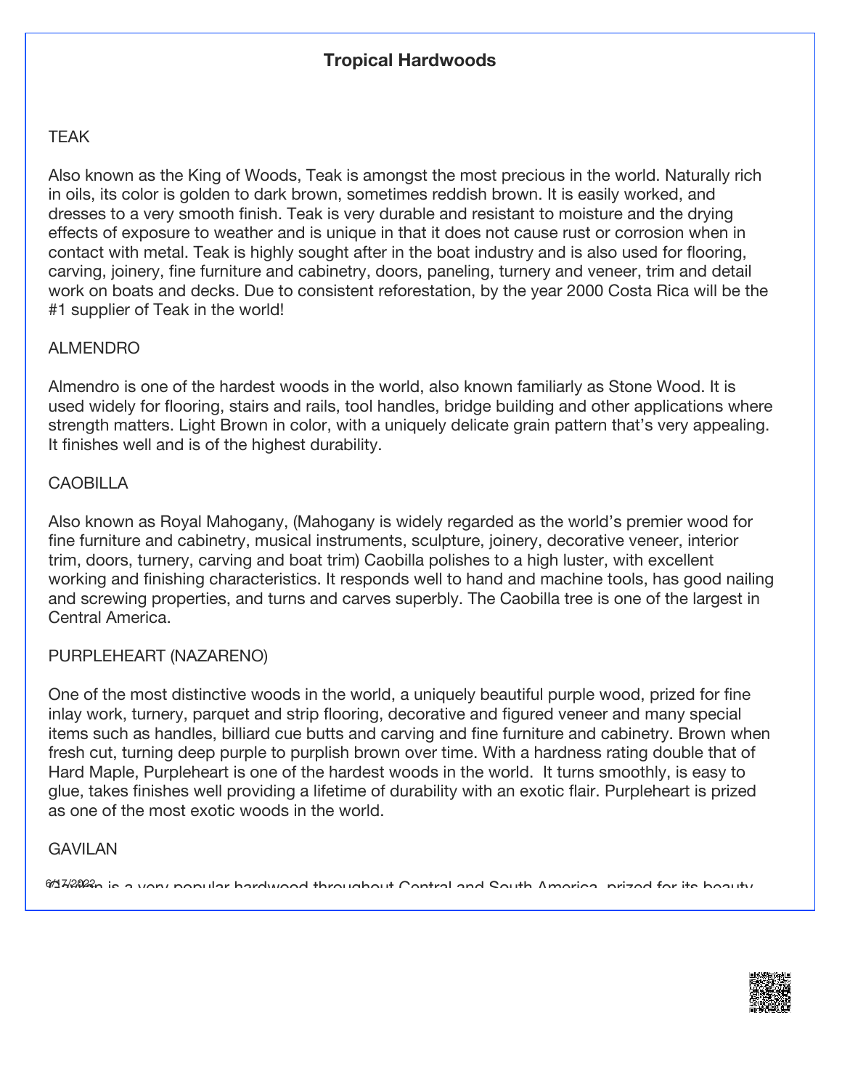# **Tropical Hardwoods**

## TEAK

Also known as the King of Woods, Teak is amongst the most precious in the world. Naturally rich in oils, its color is golden to dark brown, sometimes reddish brown. It is easily worked, and dresses to a very smooth finish. Teak is very durable and resistant to moisture and the drying effects of exposure to weather and is unique in that it does not cause rust or corrosion when in contact with metal. Teak is highly sought after in the boat industry and is also used for flooring, carving, joinery, fine furniture and cabinetry, doors, paneling, turnery and veneer, trim and detail work on boats and decks. Due to consistent reforestation, by the year 2000 Costa Rica will be the #1 supplier of Teak in the world!

# ALMENDRO

Almendro is one of the hardest woods in the world, also known familiarly as Stone Wood. It is used widely for flooring, stairs and rails, tool handles, bridge building and other applications where strength matters. Light Brown in color, with a uniquely delicate grain pattern that's very appealing. It finishes well and is of the highest durability.

## CAOBILLA

Also known as Royal Mahogany, (Mahogany is widely regarded as the world's premier wood for fine furniture and cabinetry, musical instruments, sculpture, joinery, decorative veneer, interior trim, doors, turnery, carving and boat trim) Caobilla polishes to a high luster, with excellent working and finishing characteristics. It responds well to hand and machine tools, has good nailing and screwing properties, and turns and carves superbly. The Caobilla tree is one of the largest in Central America.

# PURPLEHEART (NAZARENO)

One of the most distinctive woods in the world, a uniquely beautiful purple wood, prized for fine inlay work, turnery, parquet and strip flooring, decorative and figured veneer and many special items such as handles, billiard cue butts and carving and fine furniture and cabinetry. Brown when fresh cut, turning deep purple to purplish brown over time. With a hardness rating double that of Hard Maple, Purpleheart is one of the hardest woods in the world. It turns smoothly, is easy to glue, takes finishes well providing a lifetime of durability with an exotic flair. Purpleheart is prized as one of the most exotic woods in the world.

## GAVILAN

Gazza is a very popular hardwood throughout Central and South America, prized for its beauty

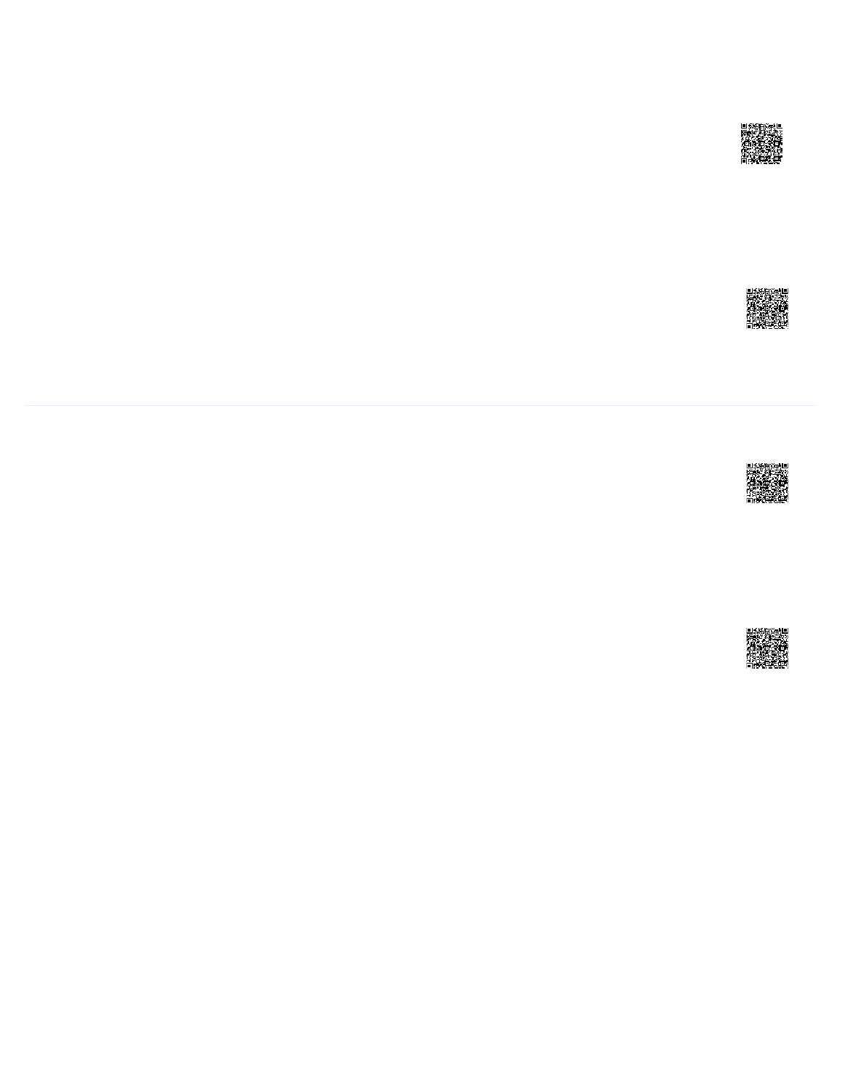





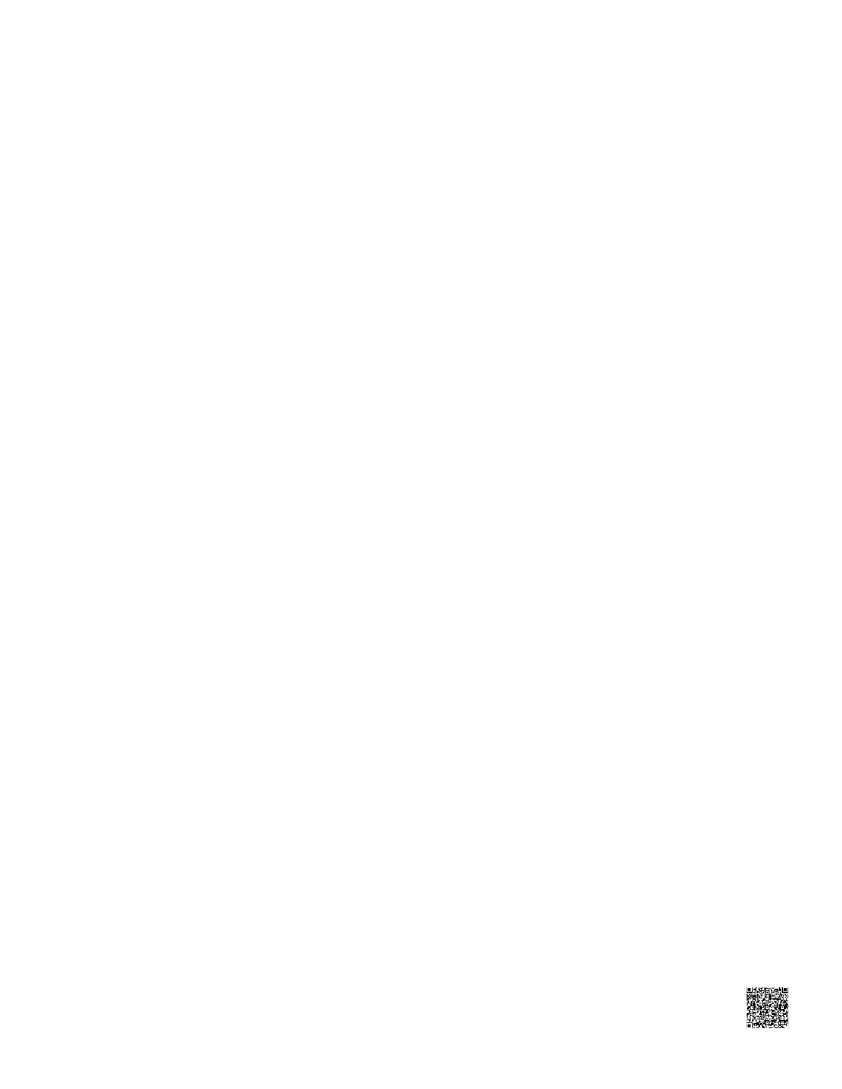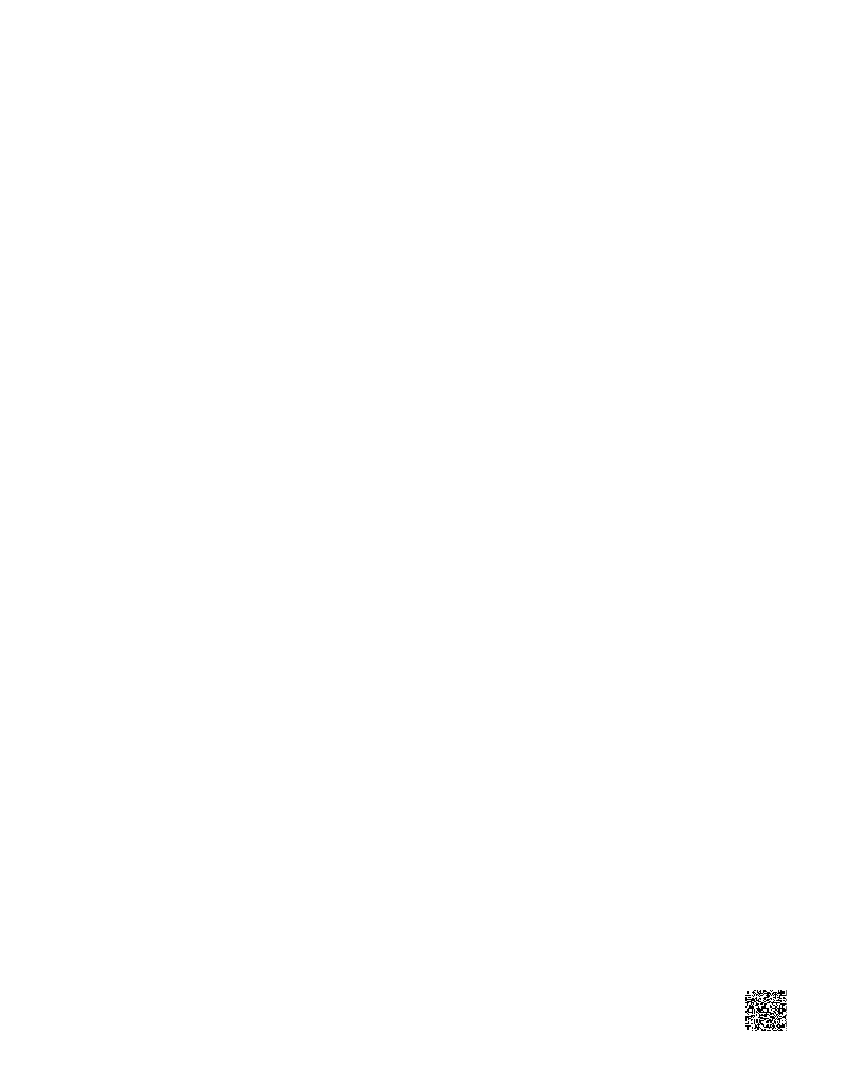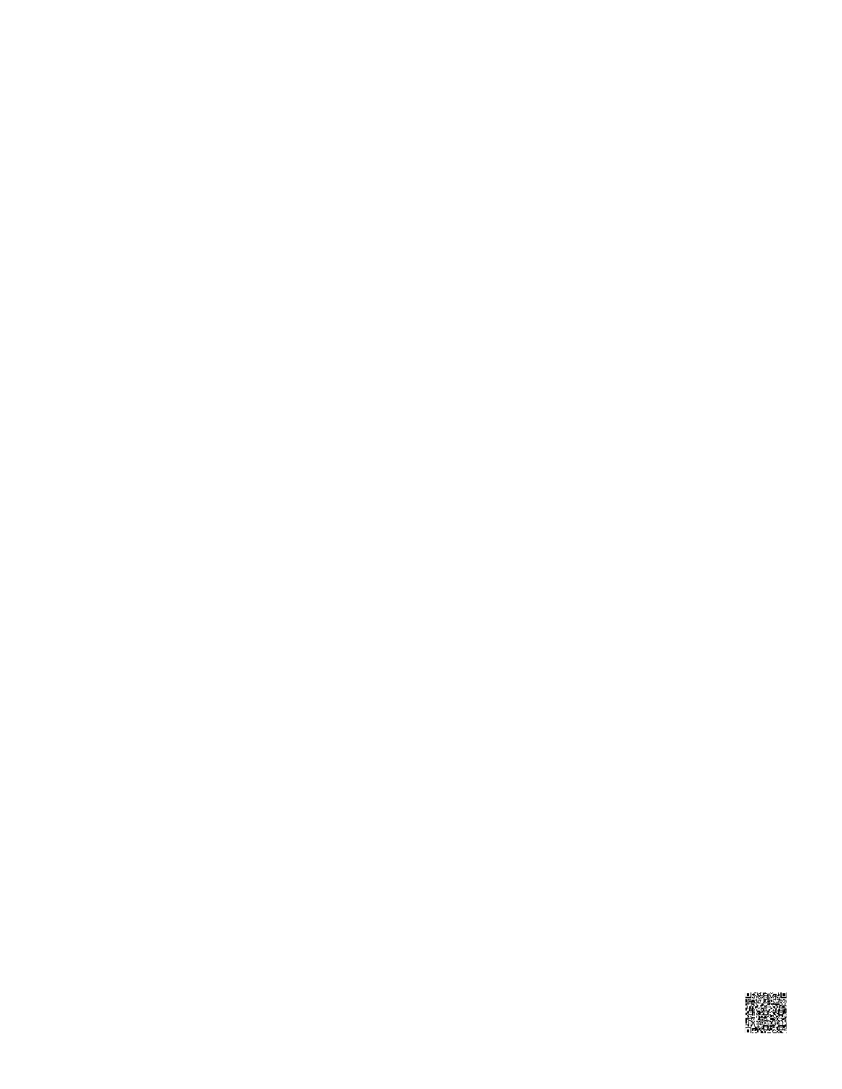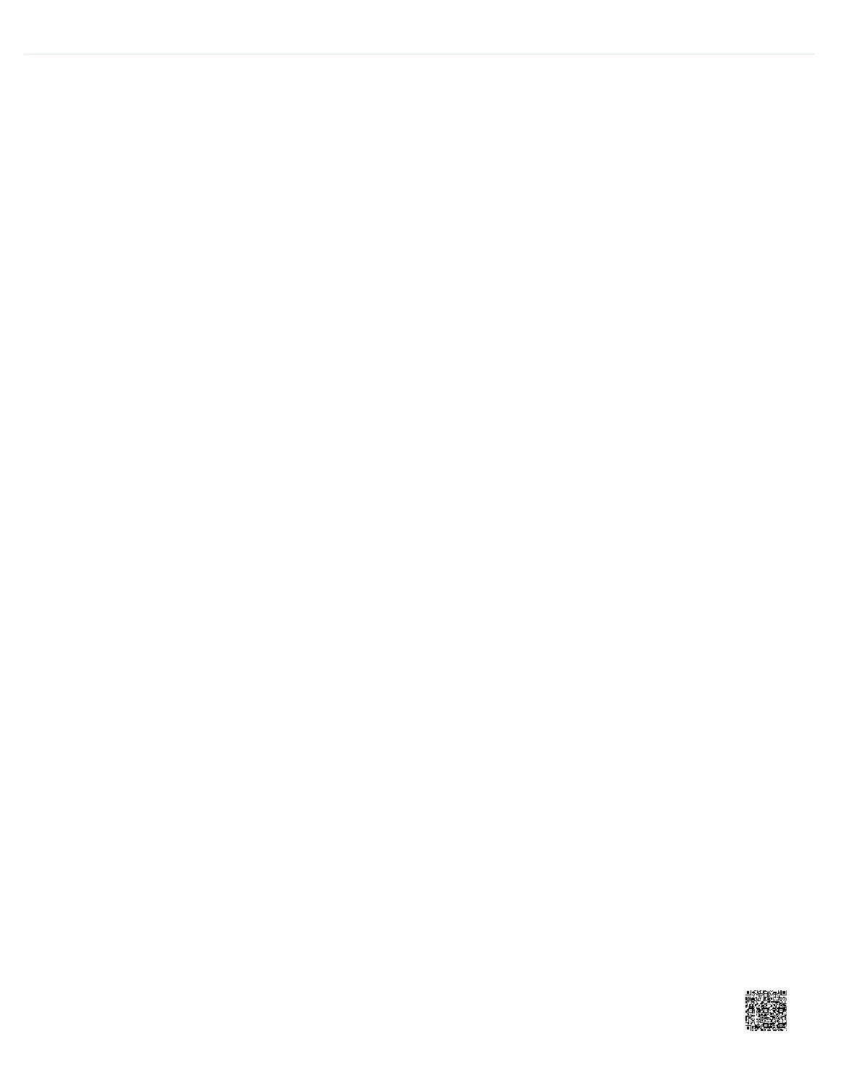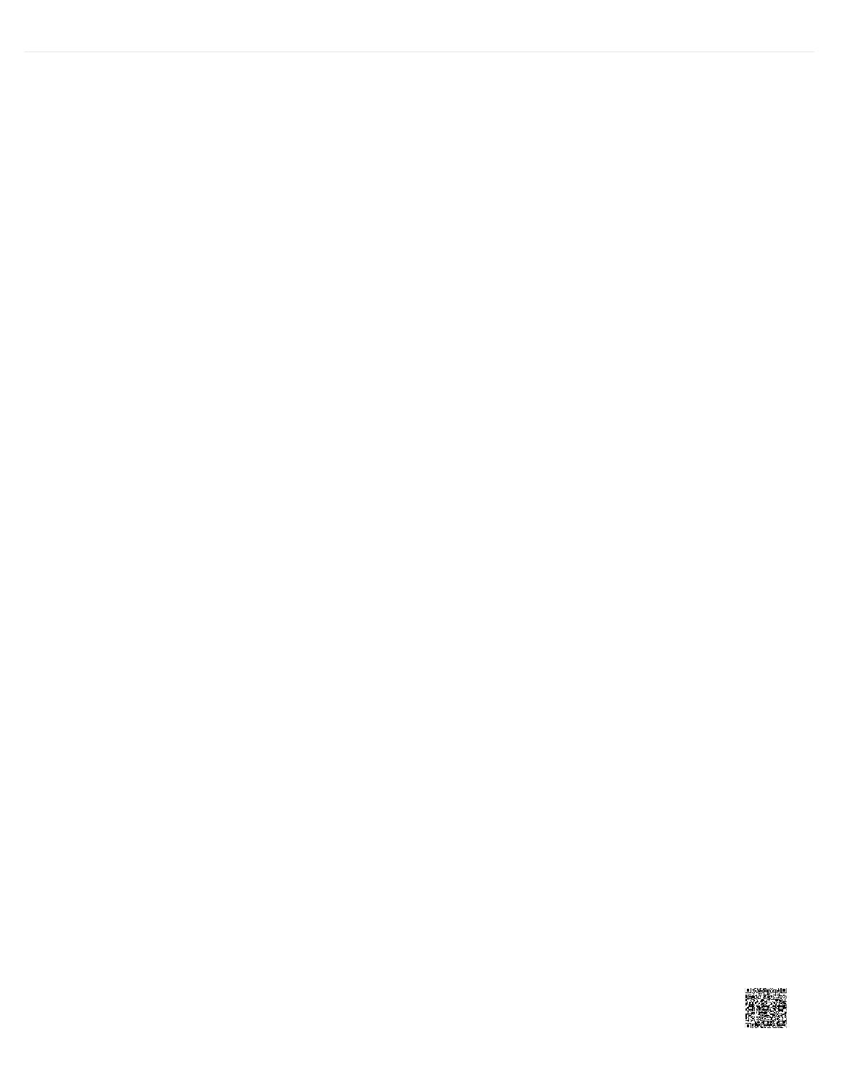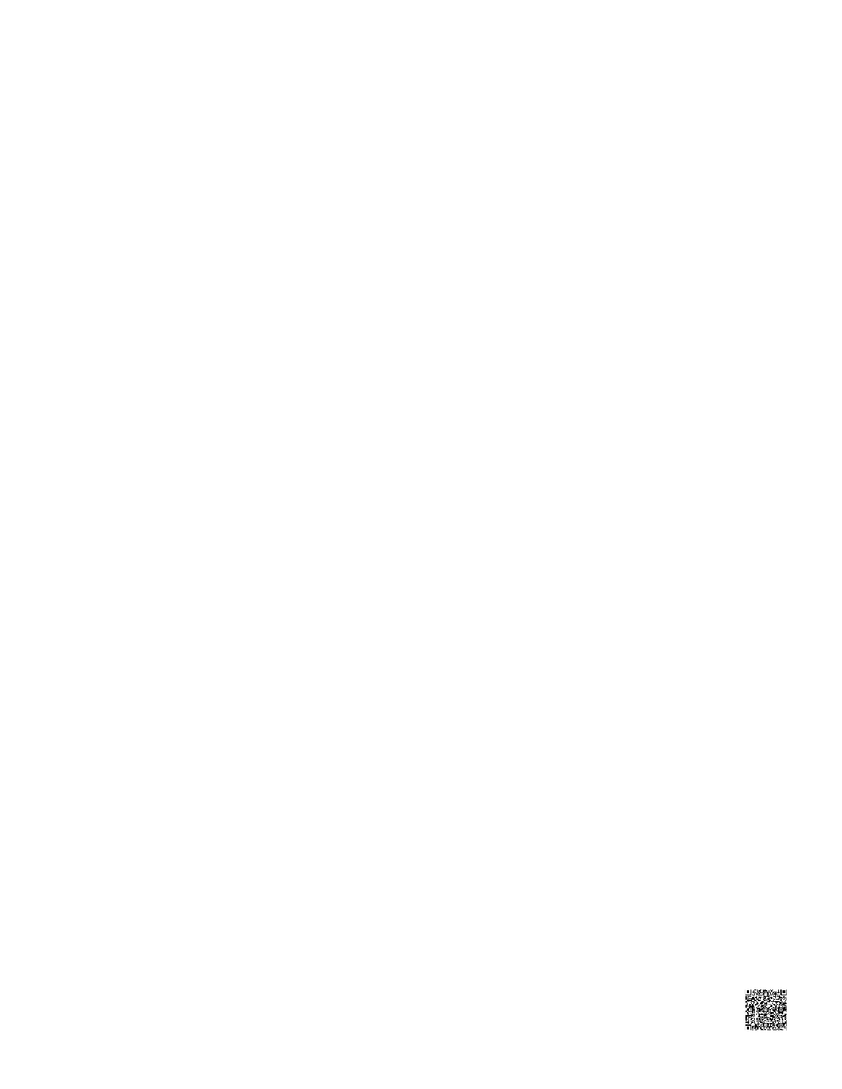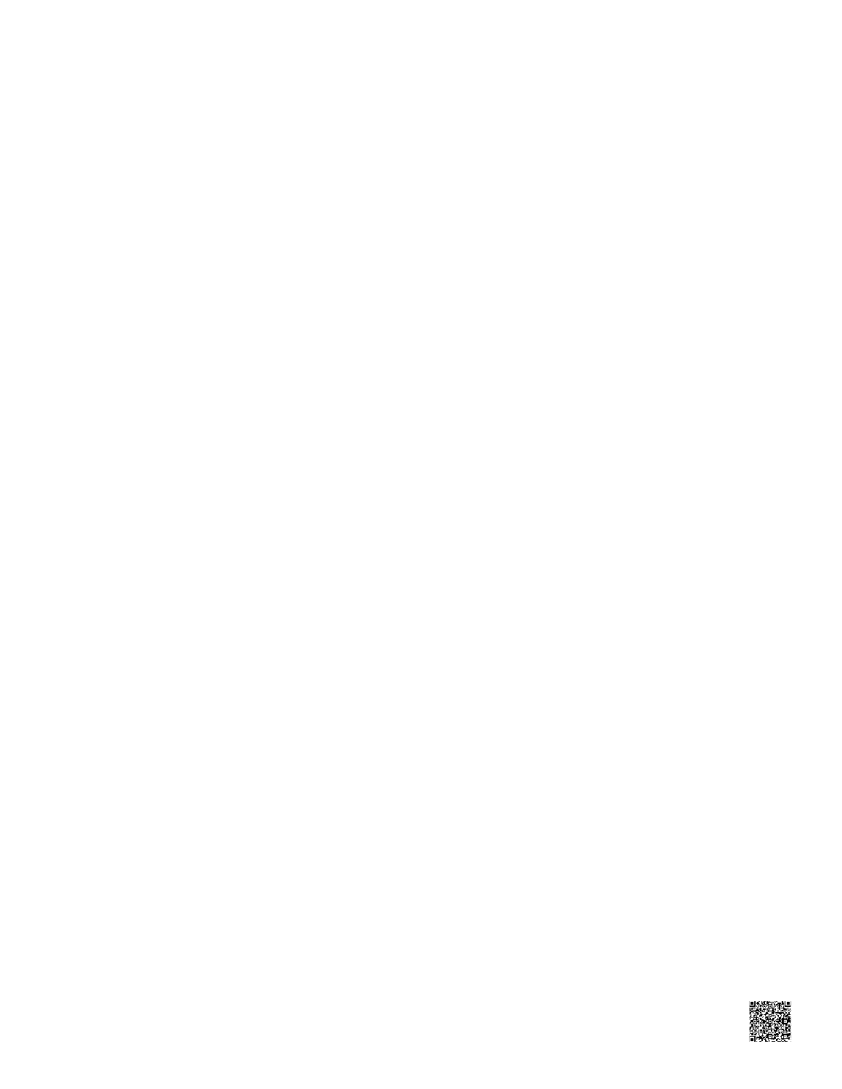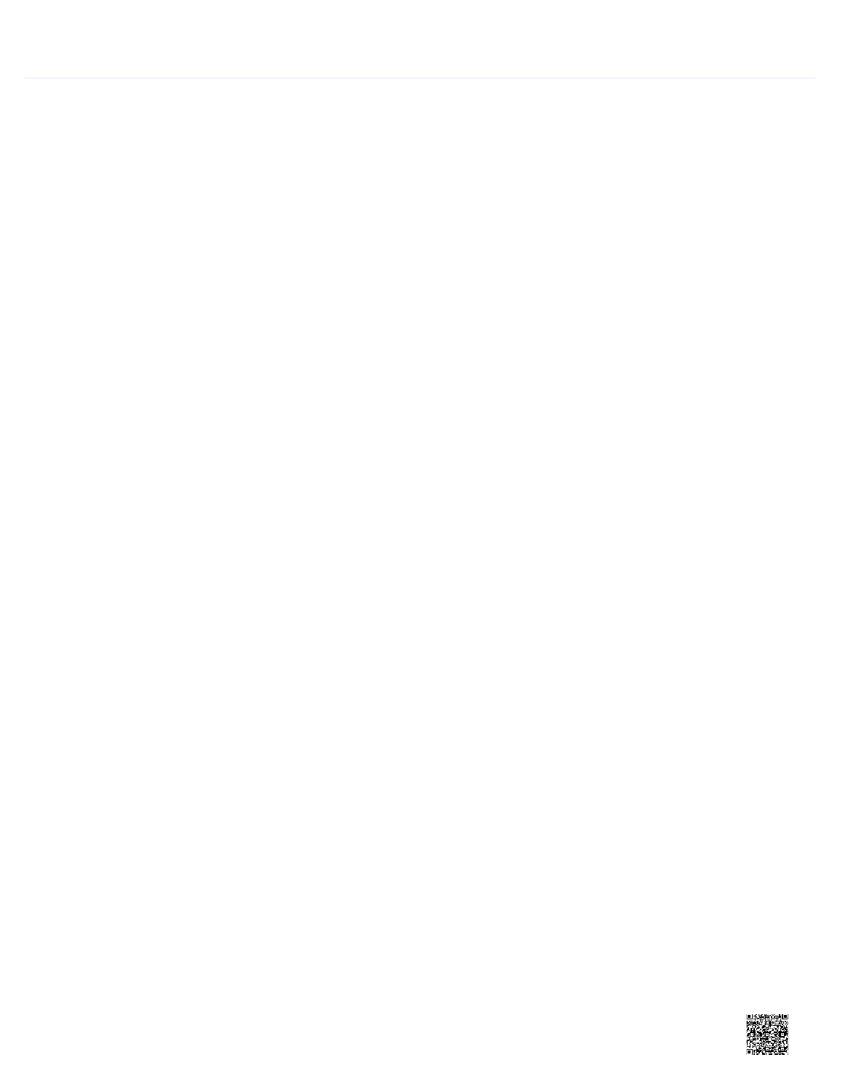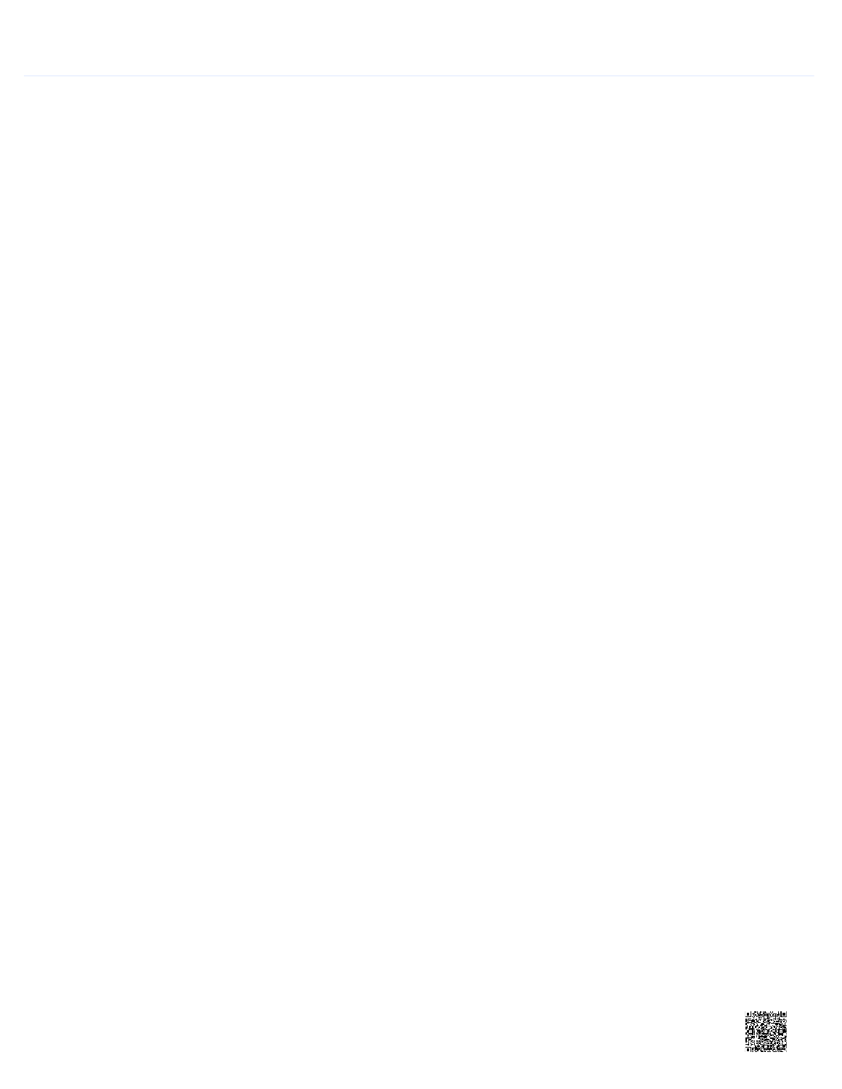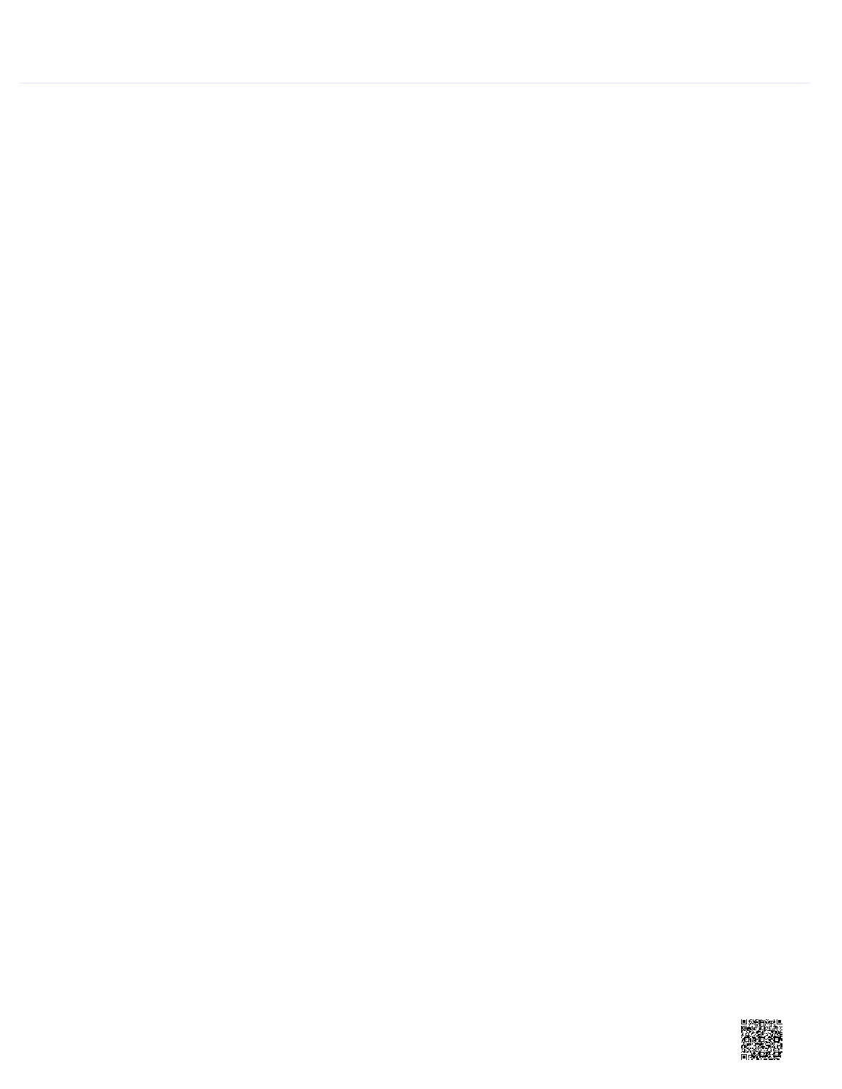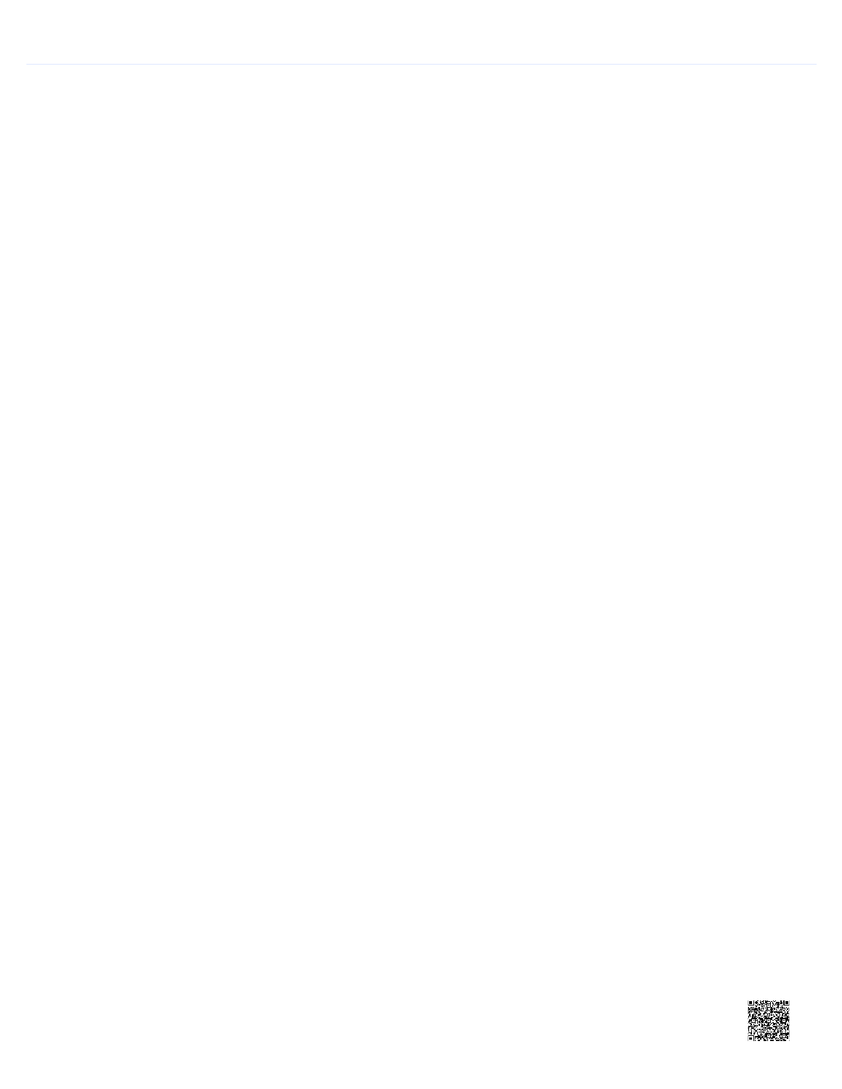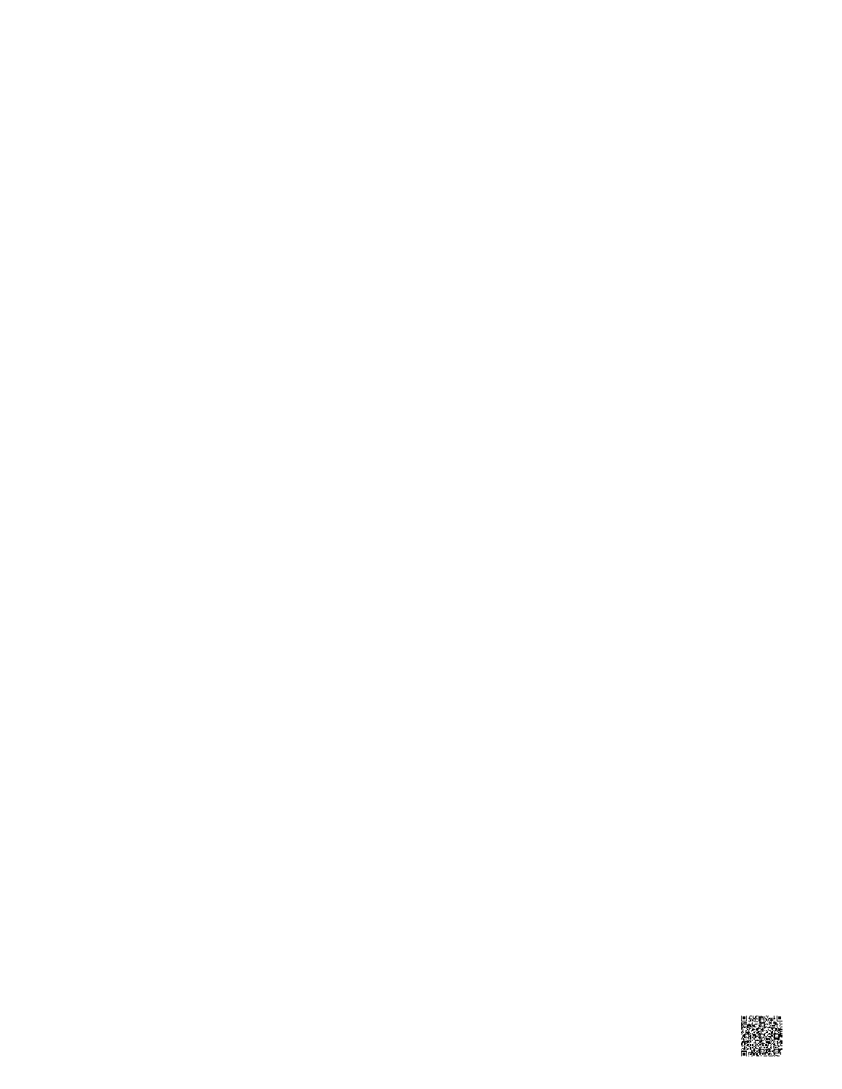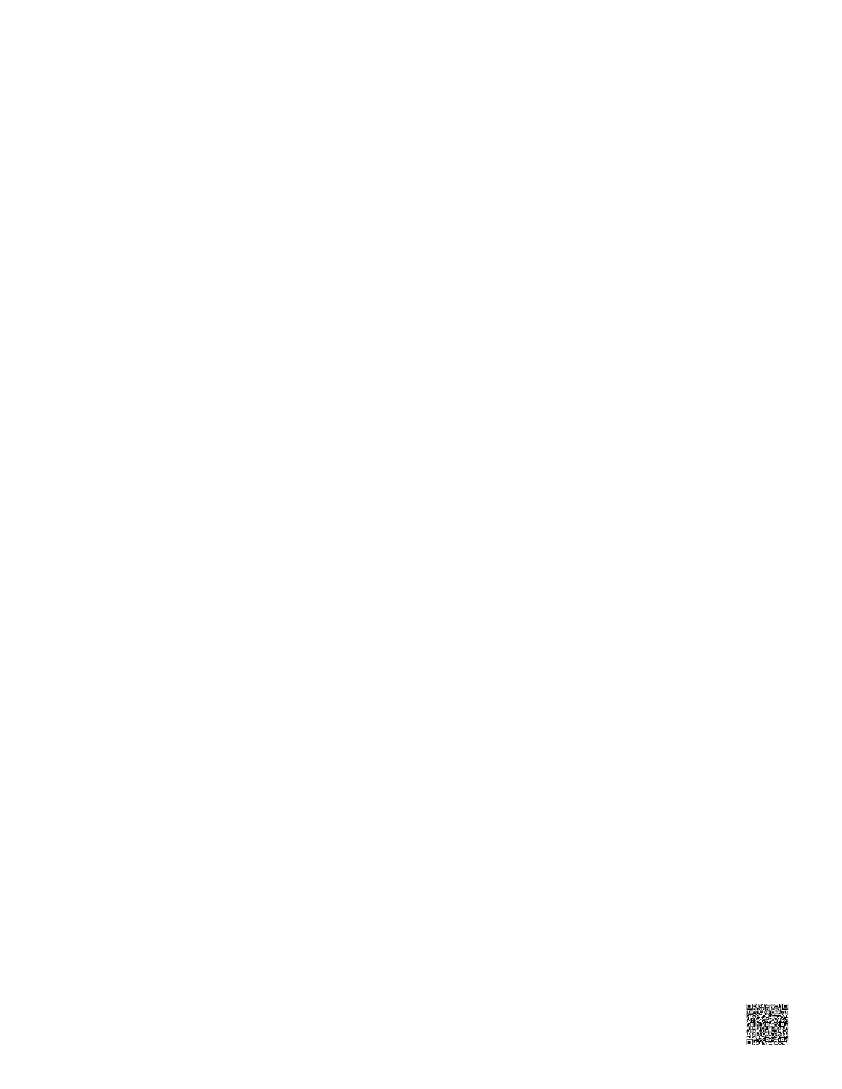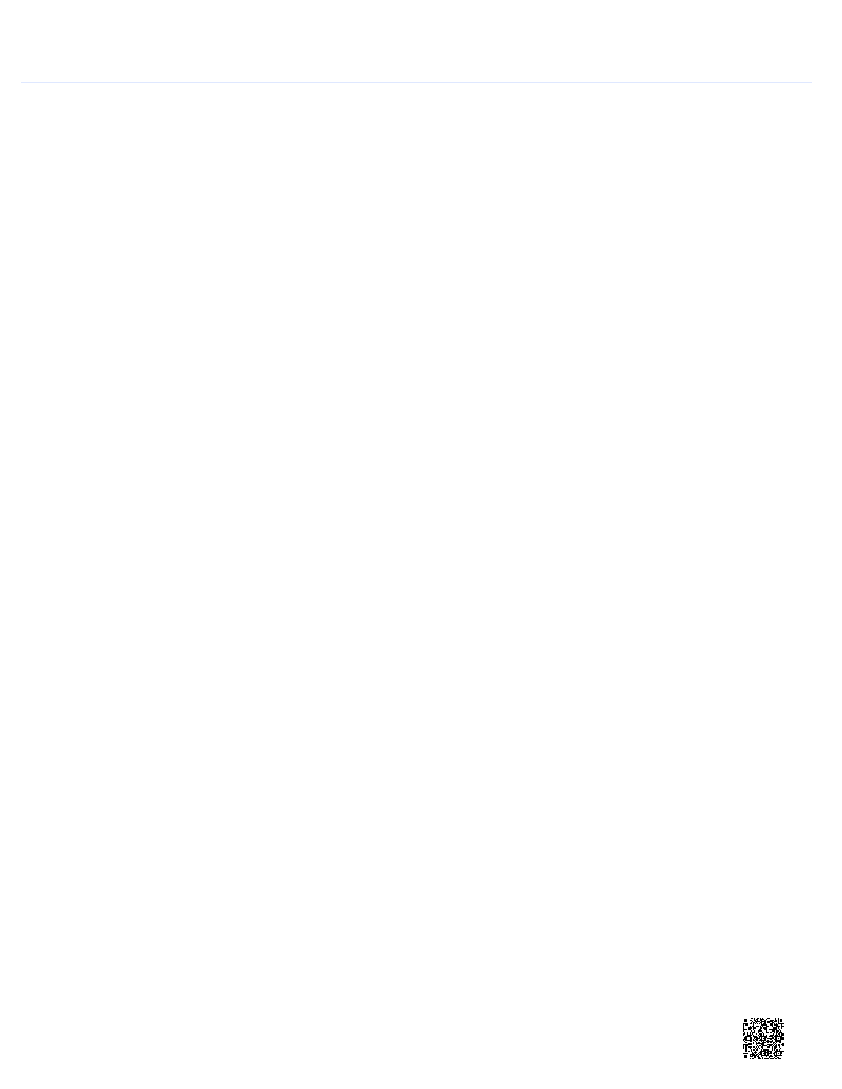